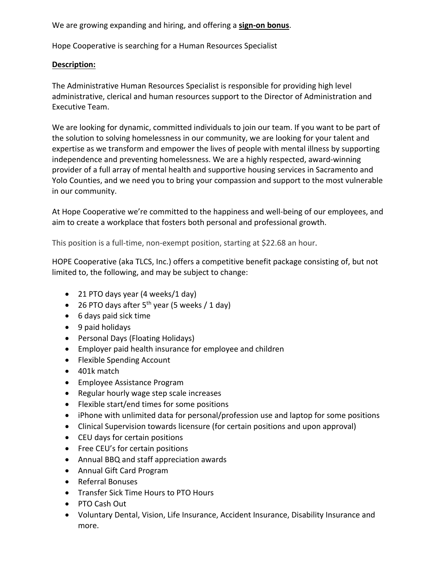We are growing expanding and hiring, and offering a **sign-on bonus**.

Hope Cooperative is searching for a Human Resources Specialist

#### **Description:**

The Administrative Human Resources Specialist is responsible for providing high level administrative, clerical and human resources support to the Director of Administration and Executive Team.

We are looking for dynamic, committed individuals to join our team. If you want to be part of the solution to solving homelessness in our community, we are looking for your talent and expertise as we transform and empower the lives of people with mental illness by supporting independence and preventing homelessness. We are a highly respected, award-winning provider of a full array of mental health and supportive housing services in Sacramento and Yolo Counties, and we need you to bring your compassion and support to the most vulnerable in our community.

At Hope Cooperative we're committed to the happiness and well-being of our employees, and aim to create a workplace that fosters both personal and professional growth.

This position is a full-time, non-exempt position, starting at \$22.68 an hour.

HOPE Cooperative (aka TLCS, Inc.) offers a competitive benefit package consisting of, but not limited to, the following, and may be subject to change:

- 21 PTO days year (4 weeks/1 day)
- 26 PTO days after  $5<sup>th</sup>$  year (5 weeks / 1 day)
- 6 days paid sick time
- 9 paid holidays
- Personal Days (Floating Holidays)
- Employer paid health insurance for employee and children
- Flexible Spending Account
- 401k match
- Employee Assistance Program
- Regular hourly wage step scale increases
- Flexible start/end times for some positions
- iPhone with unlimited data for personal/profession use and laptop for some positions
- Clinical Supervision towards licensure (for certain positions and upon approval)
- CEU days for certain positions
- Free CEU's for certain positions
- Annual BBQ and staff appreciation awards
- Annual Gift Card Program
- Referral Bonuses
- Transfer Sick Time Hours to PTO Hours
- PTO Cash Out
- Voluntary Dental, Vision, Life Insurance, Accident Insurance, Disability Insurance and more.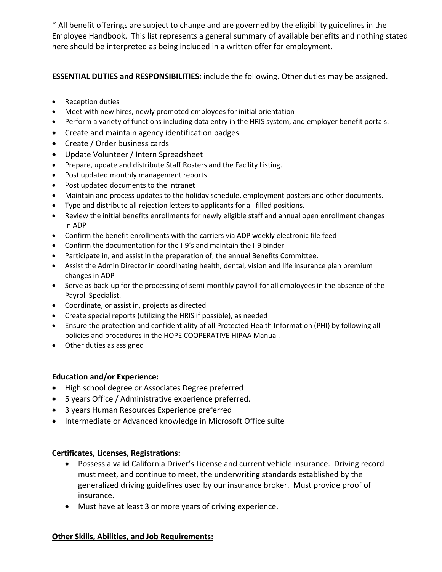\* All benefit offerings are subject to change and are governed by the eligibility guidelines in the Employee Handbook. This list represents a general summary of available benefits and nothing stated here should be interpreted as being included in a written offer for employment.

## **ESSENTIAL DUTIES and RESPONSIBILITIES:** include the following. Other duties may be assigned.

- Reception duties
- Meet with new hires, newly promoted employees for initial orientation
- Perform a variety of functions including data entry in the HRIS system, and employer benefit portals.
- Create and maintain agency identification badges.
- Create / Order business cards
- Update Volunteer / Intern Spreadsheet
- Prepare, update and distribute Staff Rosters and the Facility Listing.
- Post updated monthly management reports
- Post updated documents to the Intranet
- Maintain and process updates to the holiday schedule, employment posters and other documents.
- Type and distribute all rejection letters to applicants for all filled positions.
- Review the initial benefits enrollments for newly eligible staff and annual open enrollment changes in ADP
- Confirm the benefit enrollments with the carriers via ADP weekly electronic file feed
- Confirm the documentation for the I-9's and maintain the I-9 binder
- Participate in, and assist in the preparation of, the annual Benefits Committee.
- Assist the Admin Director in coordinating health, dental, vision and life insurance plan premium changes in ADP
- Serve as back-up for the processing of semi-monthly payroll for all employees in the absence of the Payroll Specialist.
- Coordinate, or assist in, projects as directed
- Create special reports (utilizing the HRIS if possible), as needed
- Ensure the protection and confidentiality of all Protected Health Information (PHI) by following all policies and procedures in the HOPE COOPERATIVE HIPAA Manual.
- Other duties as assigned

# **Education and/or Experience:**

- High school degree or Associates Degree preferred
- 5 years Office / Administrative experience preferred.
- 3 years Human Resources Experience preferred
- Intermediate or Advanced knowledge in Microsoft Office suite

### **Certificates, Licenses, Registrations:**

- Possess a valid California Driver's License and current vehicle insurance. Driving record must meet, and continue to meet, the underwriting standards established by the generalized driving guidelines used by our insurance broker. Must provide proof of insurance.
- Must have at least 3 or more years of driving experience.

### **Other Skills, Abilities, and Job Requirements:**